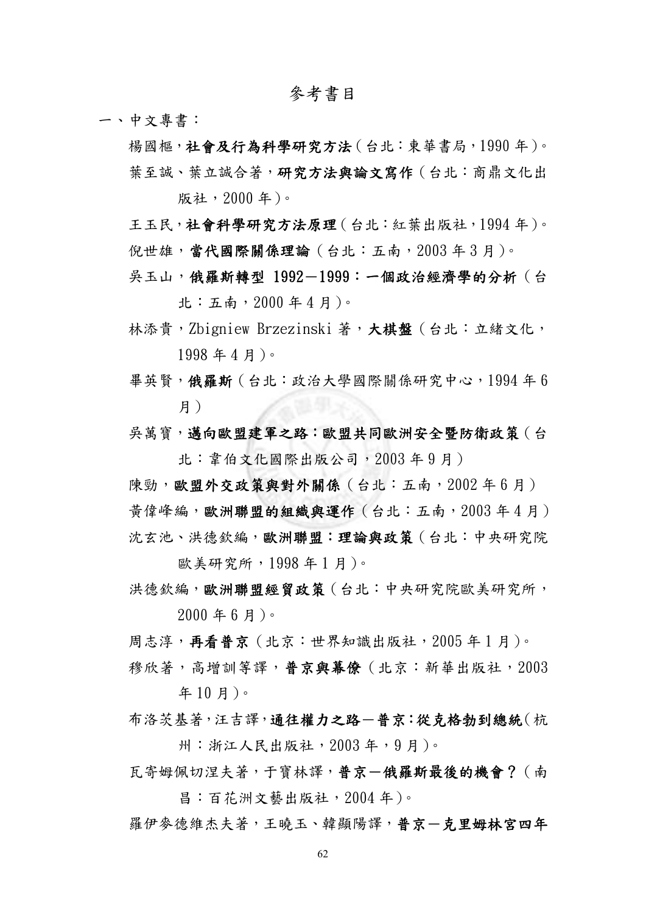## 參考書目

一、中文專書:

楊國樞,社會及行為科學研究方法(台北:東華書局,1990年)。 葉至誠、葉立誠合著,研究方法與論文寫作(台北:商鼎文化出 版社,2000 年)。

- 王玉民,社會科學研究方法原理(台北:紅葉出版社,1994 年)。 倪世雄,當代國際關係理論(台北:五南,2003年3月)。
- 吳玉山,俄羅斯轉型 1992-1999:一個政治經濟學的分析(台 北:五南,2000 年 4 月)。
- 林添貴,Zbigniew Brzezinski 著,大棋盤(台北:立緒文化, 1998 年 4 月)。
- 畢英賢,俄羅斯(台北:政治大學國際關係研究中心,1994 年 6 月)
- 吳萬寶,邁向歐盟建軍之路:歐盟共同歐洲安全暨防衛政策(台 北:韋伯文化國際出版公司,2003 年 9 月)

陳勁,歐盟外交政策與對外關係(台北:五南,2002年6月) 黃偉峰編,歐洲聯盟的組織與運作(台北:五南,2003 年 4 月) 沈玄池、洪德欽編,歐洲聯盟:理論與政策(台北:中央研究院

歐美研究所,1998 年 1 月)。

- 洪德欽編,歐洲聯盟經貿政策(台北:中央研究院歐美研究所, 2000 年 6 月)。
- 周志淳,再看普京(北京:世界知識出版社,2005 年 1 月)。
- 穆欣著,高增訓等譯,普京與幕僚(北京:新華出版社,2003 年 10 月)。
- 布洛茨基著,汪吉譯,通往權力之路一普京:從克格勃到總統(杭 州:浙江人民出版社,2003 年,9 月)。
- 瓦寄姆佩切涅夫著,于寶林譯,普京一俄羅斯最後的機會?(南 昌:百花洲文藝出版社,2004 年)。
- 羅伊麥德維杰夫著,王曉玉、韓顯陽譯,普京一克里姆林宮四年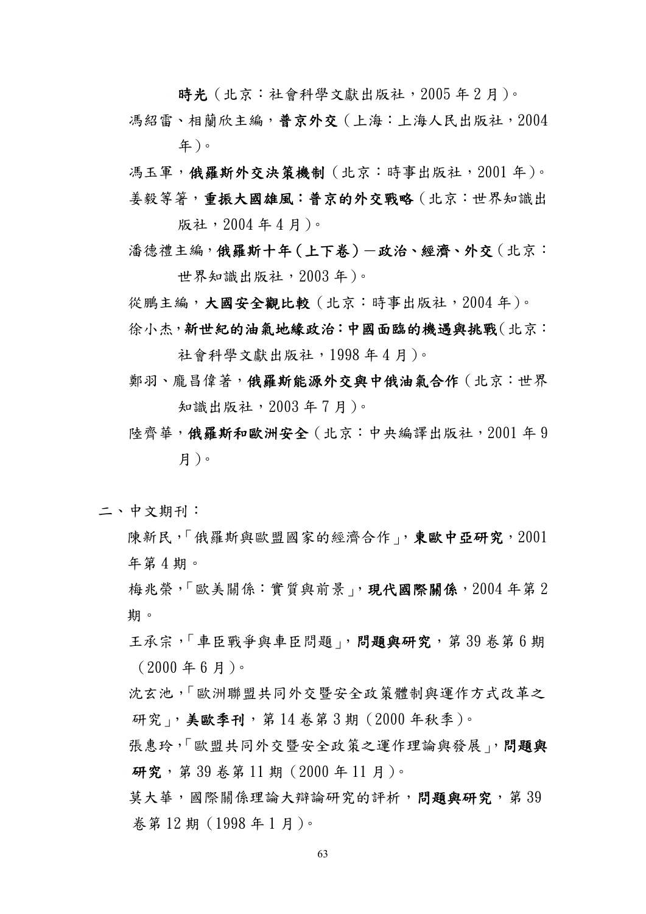時光 (北京:社會科學文獻出版社, 2005年2月)。

- 馮紹雷、相蘭欣主編,普京外交(上海:上海人民出版社,2004 年)。
- 馮玉軍,俄羅斯外交決策機制(北京:時事出版社,2001 年)。 姜毅等箸,重振大國雄風:普京的外交戰略(北京:世界知識出

版社,2004 年 4 月)。

潘德禮主編,俄羅斯十年(上下卷)一政治、經濟、外交(北京: 世界知識出版社,2003 年)。

從鵬主編,大國安全觀比較(北京:時事出版社,2004年)。

徐小杰,新世紀的油氣地緣政治:中國面臨的機遇與挑戰(北京:

社會科學文獻出版社,1998 年 4 月)。

- 鄭羽、龐昌偉著,俄羅斯能源外交與中俄油氣合作(北京:世界 知識出版社,2003 年 7 月)。
- 陸齊華,俄羅斯和歐洲安全(北京:中央編譯出版社,2001 年 9 月)。
- 二、中文期刊:
	- 陳新民,「俄羅斯與歐盟國家的經濟合作」,東歐中亞研究,2001 年第 4 期。

 梅兆榮,「歐美關係:實質與前景」,現代國際關係,2004 年第 2 期。

- 王承宗,「車臣戰爭與車臣問題」,問題與研究,第39 卷第6期 (2000 年 6 月)。
- 沈玄池,「歐洲聯盟共同外交暨安全政策體制與運作方式改革之 研究」,美歐季刊,第14 卷第3期 (2000年秋季)。
- 張惠玲,「歐盟共同外交暨安全政策之運作理論與發展」,問題與 研究,第 39 卷第 11 期 (2000 年 11 月)。

草大華,國際關係理論大辯論研究的評析,問題與研究,第39 卷第 12 期(1998 年 1 月)。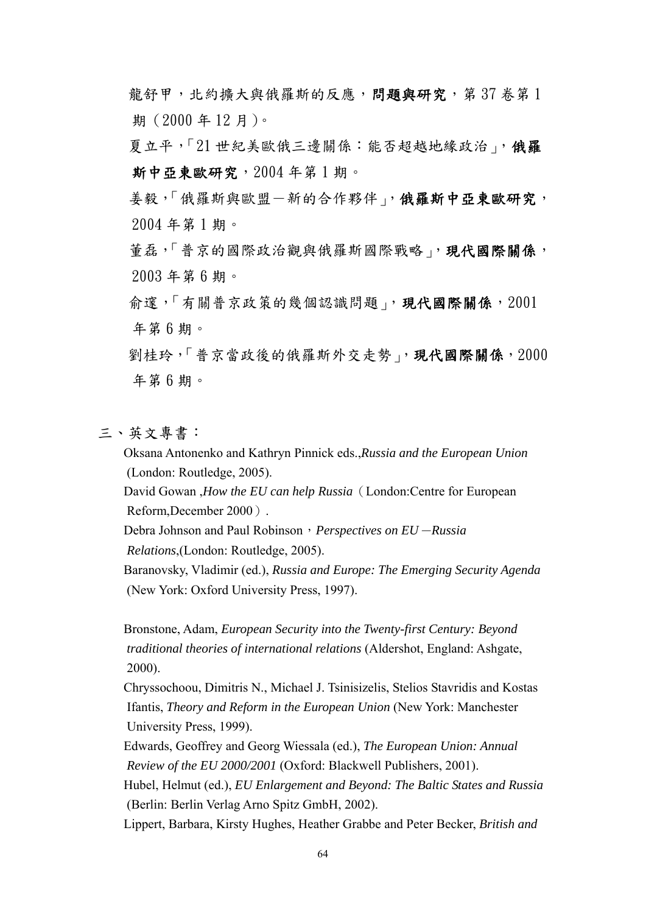龍舒甲,北約擴大與俄羅斯的反應,問題與研究,第37 卷第1 期(2000 年 12 月)。

夏立平,「21世紀美歐俄三邊關係:能否超越地緣政治」,俄羅 斯中亞東歐研究,2004 年第 1 期。

 姜毅,「俄羅斯與歐盟-新的合作夥伴」,俄羅斯中亞東歐研究, 2004 年第 1 期。

着磊,「普京的國際政治觀與俄羅斯國際戰略」,現代國際關係, 2003 年第 6 期。

命邃,「有關普京政策的幾個認識問題」,現代國際關係,2001 年第 6 期。

 劉桂玲,「普京當政後的俄羅斯外交走勢」,現代國際關係,2000 年第 6 期。

## 三、英文專書:

 Oksana Antonenko and Kathryn Pinnick eds.,*Russia and the European Union* (London: Routledge, 2005).

 David Gowan ,*How the EU can help Russia*(London:Centre for European Reform,December 2000).

 Debra Johnson and Paul Robinson,*Perspectives on EU*-*Russia Relations*,(London: Routledge, 2005).

 Baranovsky, Vladimir (ed.), *Russia and Europe: The Emerging Security Agenda* (New York: Oxford University Press, 1997).

 Bronstone, Adam, *European Security into the Twenty-first Century: Beyond traditional theories of international relations* (Aldershot, England: Ashgate, 2000).

 Chryssochoou, Dimitris N., Michael J. Tsinisizelis, Stelios Stavridis and Kostas Ifantis, *Theory and Reform in the European Union* (New York: Manchester University Press, 1999).

 Edwards, Geoffrey and Georg Wiessala (ed.), *The European Union: Annual Review of the EU 2000/2001* (Oxford: Blackwell Publishers, 2001).

 Hubel, Helmut (ed.), *EU Enlargement and Beyond: The Baltic States and Russia* (Berlin: Berlin Verlag Arno Spitz GmbH, 2002).

Lippert, Barbara, Kirsty Hughes, Heather Grabbe and Peter Becker, *British and*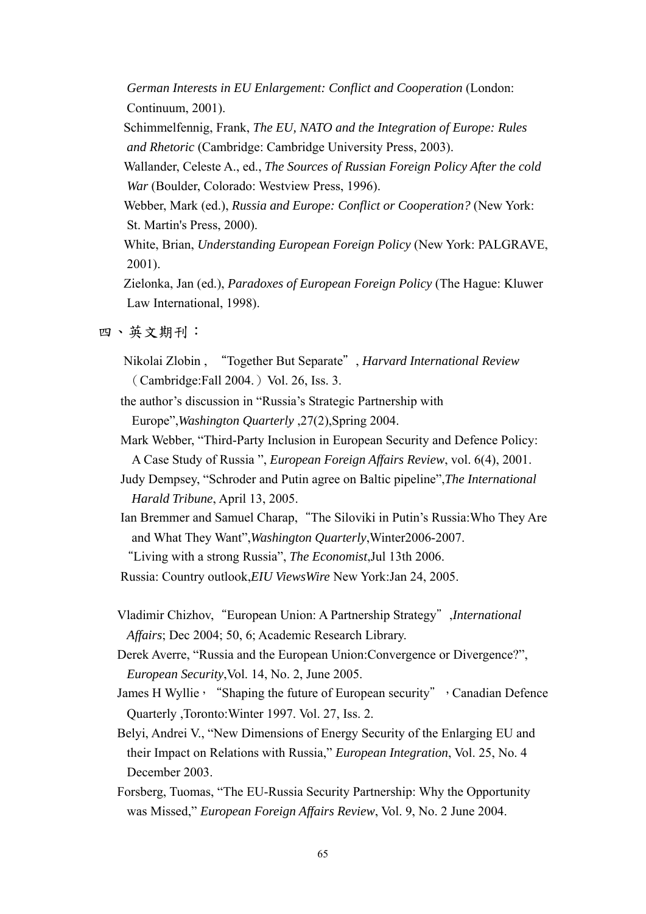*German Interests in EU Enlargement: Conflict and Cooperation* (London: Continuum, 2001).

 Schimmelfennig, Frank, *The EU, NATO and the Integration of Europe: Rules and Rhetoric* (Cambridge: Cambridge University Press, 2003).

 Wallander, Celeste A., ed., *The Sources of Russian Foreign Policy After the cold War* (Boulder, Colorado: Westview Press, 1996).

 Webber, Mark (ed.), *Russia and Europe: Conflict or Cooperation?* (New York: St. Martin's Press, 2000).

 White, Brian, *Understanding European Foreign Policy* (New York: PALGRAVE, 2001).

 Zielonka, Jan (ed.), *Paradoxes of European Foreign Policy* (The Hague: Kluwer Law International, 1998).

四、英文期刊:

 Nikolai Zlobin , "Together But Separate", *Harvard International Review* (Cambridge:Fall 2004.) Vol. 26, Iss. 3.

 the author's discussion in "Russia's Strategic Partnership with Europe",*Washington Quarterly* ,27(2),Spring 2004.

 Mark Webber, "Third-Party Inclusion in European Security and Defence Policy: A Case Study of Russia ", *European Foreign Affairs Review*, vol. 6(4), 2001.

 Judy Dempsey, "Schroder and Putin agree on Baltic pipeline",*The International Harald Tribune*, April 13, 2005.

Ian Bremmer and Samuel Charap, "The Siloviki in Putin's Russia: Who They Are and What They Want",*Washington Quarterly*,Winter2006-2007.

"Living with a strong Russia", *The Economist*,Jul 13th 2006.

Russia: Country outlook,*EIU ViewsWire* New York:Jan 24, 2005.

 Vladimir Chizhov,"European Union: A Partnership Strategy",*International Affairs*; Dec 2004; 50, 6; Academic Research Library.

 Derek Averre, "Russia and the European Union:Convergence or Divergence?", *European Security*,Vol. 14, No. 2, June 2005.

James H Wyllie, "Shaping the future of European security", Canadian Defence Quarterly ,Toronto:Winter 1997. Vol. 27, Iss. 2.

 Belyi, Andrei V., "New Dimensions of Energy Security of the Enlarging EU and their Impact on Relations with Russia," *European Integration*, Vol. 25, No. 4 December 2003.

 Forsberg, Tuomas, "The EU-Russia Security Partnership: Why the Opportunity was Missed," *European Foreign Affairs Review*, Vol. 9, No. 2 June 2004.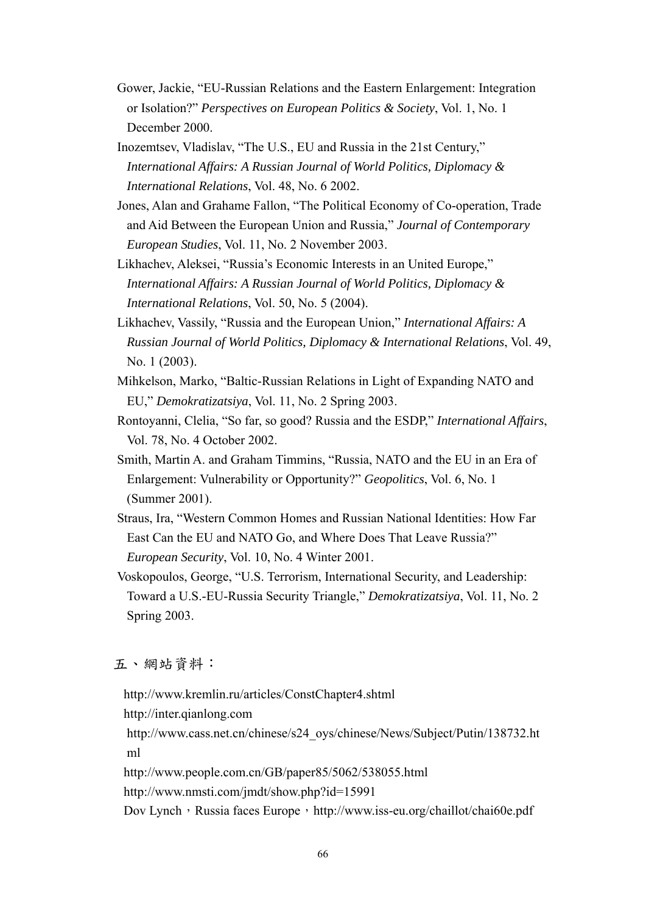- Gower, Jackie, "EU-Russian Relations and the Eastern Enlargement: Integration or Isolation?" *Perspectives on European Politics & Society*, Vol. 1, No. 1 December 2000.
- Inozemtsev, Vladislav, "The U.S., EU and Russia in the 21st Century," *International Affairs: A Russian Journal of World Politics, Diplomacy & International Relations*, Vol. 48, No. 6 2002.
- Jones, Alan and Grahame Fallon, "The Political Economy of Co-operation, Trade and Aid Between the European Union and Russia," *Journal of Contemporary European Studies*, Vol. 11, No. 2 November 2003.
- Likhachev, Aleksei, "Russia's Economic Interests in an United Europe," *International Affairs: A Russian Journal of World Politics, Diplomacy & International Relations*, Vol. 50, No. 5 (2004).
- Likhachev, Vassily, "Russia and the European Union," *International Affairs: A Russian Journal of World Politics, Diplomacy & International Relations*, Vol. 49, No. 1 (2003).
- Mihkelson, Marko, "Baltic-Russian Relations in Light of Expanding NATO and EU," *Demokratizatsiya*, Vol. 11, No. 2 Spring 2003.
- Rontoyanni, Clelia, "So far, so good? Russia and the ESDP," *International Affairs*, Vol. 78, No. 4 October 2002.
- Smith, Martin A. and Graham Timmins, "Russia, NATO and the EU in an Era of Enlargement: Vulnerability or Opportunity?" *Geopolitics*, Vol. 6, No. 1 (Summer 2001).
- Straus, Ira, "Western Common Homes and Russian National Identities: How Far East Can the EU and NATO Go, and Where Does That Leave Russia?" *European Security*, Vol. 10, No. 4 Winter 2001.
- Voskopoulos, George, "U.S. Terrorism, International Security, and Leadership: Toward a U.S.-EU-Russia Security Triangle," *Demokratizatsiya*, Vol. 11, No. 2 Spring 2003.

## 五、網站資料:

 http://www.kremlin.ru/articles/ConstChapter4.shtml http://inter.qianlong.com http://www.cass.net.cn/chinese/s24\_oys/chinese/News/Subject/Putin/138732.ht ml http://www.people.com.cn/GB/paper85/5062/538055.html http://www.nmsti.com/jmdt/show.php?id=15991 Dov Lynch, Russia faces Europe, http://www.iss-eu.org/chaillot/chai60e.pdf